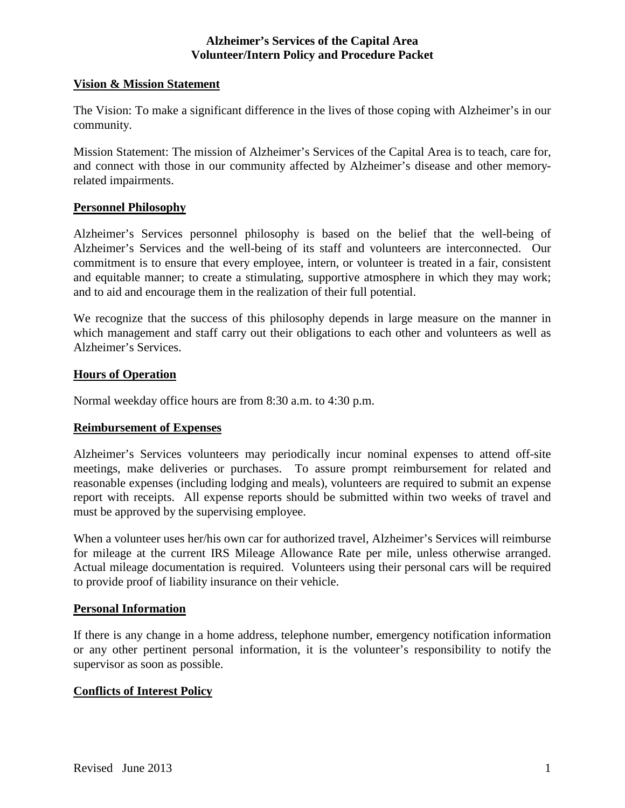### **Vision & Mission Statement**

The Vision: To make a significant difference in the lives of those coping with Alzheimer's in our community.

Mission Statement: The mission of Alzheimer's Services of the Capital Area is to teach, care for, and connect with those in our community affected by Alzheimer's disease and other memoryrelated impairments.

# **Personnel Philosophy**

Alzheimer's Services personnel philosophy is based on the belief that the well-being of Alzheimer's Services and the well-being of its staff and volunteers are interconnected. Our commitment is to ensure that every employee, intern, or volunteer is treated in a fair, consistent and equitable manner; to create a stimulating, supportive atmosphere in which they may work; and to aid and encourage them in the realization of their full potential.

We recognize that the success of this philosophy depends in large measure on the manner in which management and staff carry out their obligations to each other and volunteers as well as Alzheimer's Services.

# **Hours of Operation**

Normal weekday office hours are from 8:30 a.m. to 4:30 p.m.

#### **Reimbursement of Expenses**

Alzheimer's Services volunteers may periodically incur nominal expenses to attend off-site meetings, make deliveries or purchases. To assure prompt reimbursement for related and reasonable expenses (including lodging and meals), volunteers are required to submit an expense report with receipts. All expense reports should be submitted within two weeks of travel and must be approved by the supervising employee.

When a volunteer uses her/his own car for authorized travel, Alzheimer's Services will reimburse for mileage at the current IRS Mileage Allowance Rate per mile, unless otherwise arranged. Actual mileage documentation is required. Volunteers using their personal cars will be required to provide proof of liability insurance on their vehicle.

#### **Personal Information**

If there is any change in a home address, telephone number, emergency notification information or any other pertinent personal information, it is the volunteer's responsibility to notify the supervisor as soon as possible.

#### **Conflicts of Interest Policy**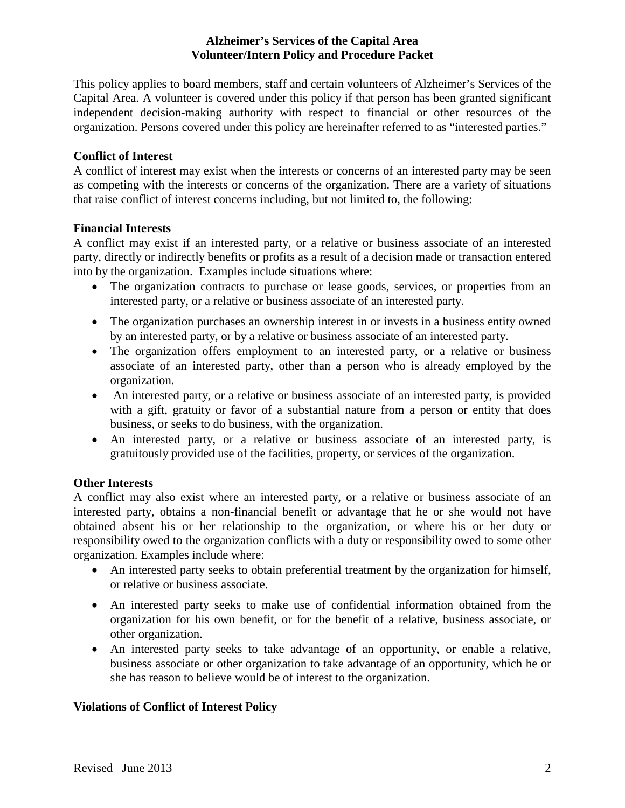This policy applies to board members, staff and certain volunteers of Alzheimer's Services of the Capital Area. A volunteer is covered under this policy if that person has been granted significant independent decision-making authority with respect to financial or other resources of the organization. Persons covered under this policy are hereinafter referred to as "interested parties."

# **Conflict of Interest**

A conflict of interest may exist when the interests or concerns of an interested party may be seen as competing with the interests or concerns of the organization. There are a variety of situations that raise conflict of interest concerns including, but not limited to, the following:

# **Financial Interests**

A conflict may exist if an interested party, or a relative or business associate of an interested party, directly or indirectly benefits or profits as a result of a decision made or transaction entered into by the organization. Examples include situations where:

- The organization contracts to purchase or lease goods, services, or properties from an interested party, or a relative or business associate of an interested party.
- The organization purchases an ownership interest in or invests in a business entity owned by an interested party, or by a relative or business associate of an interested party.
- The organization offers employment to an interested party, or a relative or business associate of an interested party, other than a person who is already employed by the organization.
- An interested party, or a relative or business associate of an interested party, is provided with a gift, gratuity or favor of a substantial nature from a person or entity that does business, or seeks to do business, with the organization.
- An interested party, or a relative or business associate of an interested party, is gratuitously provided use of the facilities, property, or services of the organization.

# **Other Interests**

A conflict may also exist where an interested party, or a relative or business associate of an interested party, obtains a non-financial benefit or advantage that he or she would not have obtained absent his or her relationship to the organization, or where his or her duty or responsibility owed to the organization conflicts with a duty or responsibility owed to some other organization. Examples include where:

- An interested party seeks to obtain preferential treatment by the organization for himself, or relative or business associate.
- An interested party seeks to make use of confidential information obtained from the organization for his own benefit, or for the benefit of a relative, business associate, or other organization.
- An interested party seeks to take advantage of an opportunity, or enable a relative, business associate or other organization to take advantage of an opportunity, which he or she has reason to believe would be of interest to the organization.

# **Violations of Conflict of Interest Policy**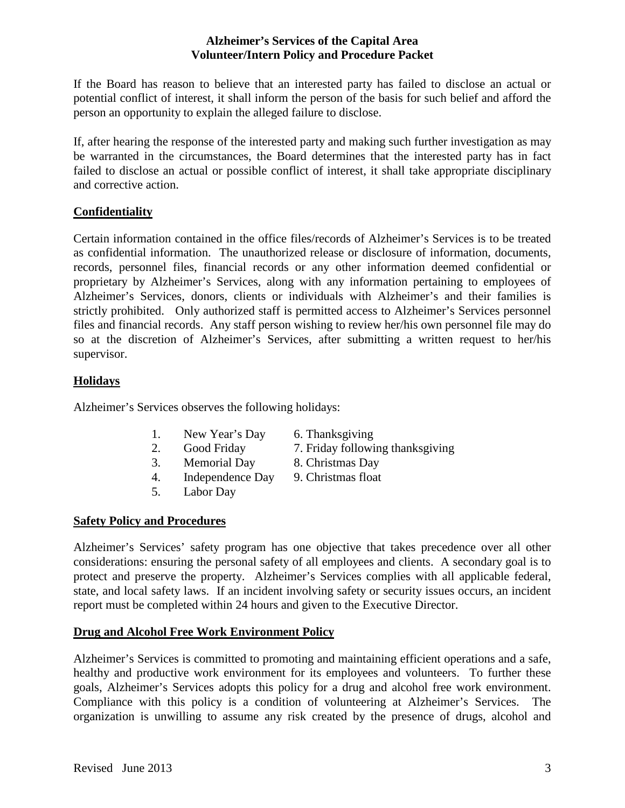If the Board has reason to believe that an interested party has failed to disclose an actual or potential conflict of interest, it shall inform the person of the basis for such belief and afford the person an opportunity to explain the alleged failure to disclose.

If, after hearing the response of the interested party and making such further investigation as may be warranted in the circumstances, the Board determines that the interested party has in fact failed to disclose an actual or possible conflict of interest, it shall take appropriate disciplinary and corrective action.

# **Confidentiality**

Certain information contained in the office files/records of Alzheimer's Services is to be treated as confidential information. The unauthorized release or disclosure of information, documents, records, personnel files, financial records or any other information deemed confidential or proprietary by Alzheimer's Services, along with any information pertaining to employees of Alzheimer's Services, donors, clients or individuals with Alzheimer's and their families is strictly prohibited. Only authorized staff is permitted access to Alzheimer's Services personnel files and financial records. Any staff person wishing to review her/his own personnel file may do so at the discretion of Alzheimer's Services, after submitting a written request to her/his supervisor.

# **Holidays**

Alzheimer's Services observes the following holidays:

- 1. New Year's Day 6. Thanksgiving
- 
- 
- 4. Independence Day 9. Christmas float
- 5. Labor Day

# **Safety Policy and Procedures**

Alzheimer's Services' safety program has one objective that takes precedence over all other considerations: ensuring the personal safety of all employees and clients. A secondary goal is to protect and preserve the property. Alzheimer's Services complies with all applicable federal, state, and local safety laws. If an incident involving safety or security issues occurs, an incident report must be completed within 24 hours and given to the Executive Director.

# **Drug and Alcohol Free Work Environment Policy**

Alzheimer's Services is committed to promoting and maintaining efficient operations and a safe, healthy and productive work environment for its employees and volunteers. To further these goals, Alzheimer's Services adopts this policy for a drug and alcohol free work environment. Compliance with this policy is a condition of volunteering at Alzheimer's Services. The organization is unwilling to assume any risk created by the presence of drugs, alcohol and

- 
- 2. Good Friday 7. Friday following thanksgiving
- 3. Memorial Day 8. Christmas Day
	-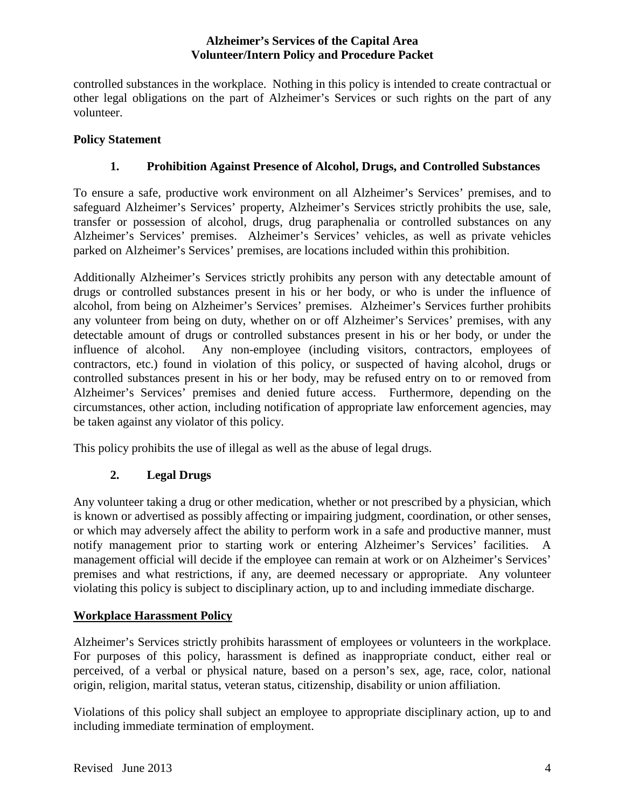controlled substances in the workplace. Nothing in this policy is intended to create contractual or other legal obligations on the part of Alzheimer's Services or such rights on the part of any volunteer.

# **Policy Statement**

# **1. Prohibition Against Presence of Alcohol, Drugs, and Controlled Substances**

To ensure a safe, productive work environment on all Alzheimer's Services' premises, and to safeguard Alzheimer's Services' property, Alzheimer's Services strictly prohibits the use, sale, transfer or possession of alcohol, drugs, drug paraphenalia or controlled substances on any Alzheimer's Services' premises. Alzheimer's Services' vehicles, as well as private vehicles parked on Alzheimer's Services' premises, are locations included within this prohibition.

Additionally Alzheimer's Services strictly prohibits any person with any detectable amount of drugs or controlled substances present in his or her body, or who is under the influence of alcohol, from being on Alzheimer's Services' premises. Alzheimer's Services further prohibits any volunteer from being on duty, whether on or off Alzheimer's Services' premises, with any detectable amount of drugs or controlled substances present in his or her body, or under the influence of alcohol. Any non-employee (including visitors, contractors, employees of contractors, etc.) found in violation of this policy, or suspected of having alcohol, drugs or controlled substances present in his or her body, may be refused entry on to or removed from Alzheimer's Services' premises and denied future access. Furthermore, depending on the circumstances, other action, including notification of appropriate law enforcement agencies, may be taken against any violator of this policy.

This policy prohibits the use of illegal as well as the abuse of legal drugs.

# **2. Legal Drugs**

Any volunteer taking a drug or other medication, whether or not prescribed by a physician, which is known or advertised as possibly affecting or impairing judgment, coordination, or other senses, or which may adversely affect the ability to perform work in a safe and productive manner, must notify management prior to starting work or entering Alzheimer's Services' facilities. A management official will decide if the employee can remain at work or on Alzheimer's Services' premises and what restrictions, if any, are deemed necessary or appropriate. Any volunteer violating this policy is subject to disciplinary action, up to and including immediate discharge.

# **Workplace Harassment Policy**

Alzheimer's Services strictly prohibits harassment of employees or volunteers in the workplace. For purposes of this policy, harassment is defined as inappropriate conduct, either real or perceived, of a verbal or physical nature, based on a person's sex, age, race, color, national origin, religion, marital status, veteran status, citizenship, disability or union affiliation.

Violations of this policy shall subject an employee to appropriate disciplinary action, up to and including immediate termination of employment.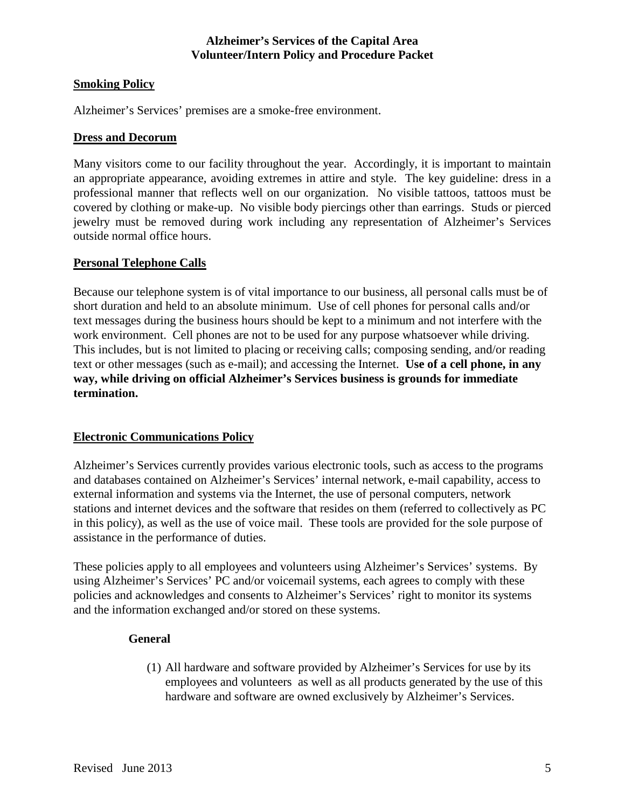# **Smoking Policy**

Alzheimer's Services' premises are a smoke-free environment.

### **Dress and Decorum**

Many visitors come to our facility throughout the year. Accordingly, it is important to maintain an appropriate appearance, avoiding extremes in attire and style. The key guideline: dress in a professional manner that reflects well on our organization. No visible tattoos, tattoos must be covered by clothing or make-up. No visible body piercings other than earrings. Studs or pierced jewelry must be removed during work including any representation of Alzheimer's Services outside normal office hours.

# **Personal Telephone Calls**

Because our telephone system is of vital importance to our business, all personal calls must be of short duration and held to an absolute minimum. Use of cell phones for personal calls and/or text messages during the business hours should be kept to a minimum and not interfere with the work environment. Cell phones are not to be used for any purpose whatsoever while driving. This includes, but is not limited to placing or receiving calls; composing sending, and/or reading text or other messages (such as e-mail); and accessing the Internet. **Use of a cell phone, in any way, while driving on official Alzheimer's Services business is grounds for immediate termination.**

#### **Electronic Communications Policy**

Alzheimer's Services currently provides various electronic tools, such as access to the programs and databases contained on Alzheimer's Services' internal network, e-mail capability, access to external information and systems via the Internet, the use of personal computers, network stations and internet devices and the software that resides on them (referred to collectively as PC in this policy), as well as the use of voice mail. These tools are provided for the sole purpose of assistance in the performance of duties.

These policies apply to all employees and volunteers using Alzheimer's Services' systems. By using Alzheimer's Services' PC and/or voicemail systems, each agrees to comply with these policies and acknowledges and consents to Alzheimer's Services' right to monitor its systems and the information exchanged and/or stored on these systems.

# **General**

(1) All hardware and software provided by Alzheimer's Services for use by its employees and volunteers as well as all products generated by the use of this hardware and software are owned exclusively by Alzheimer's Services.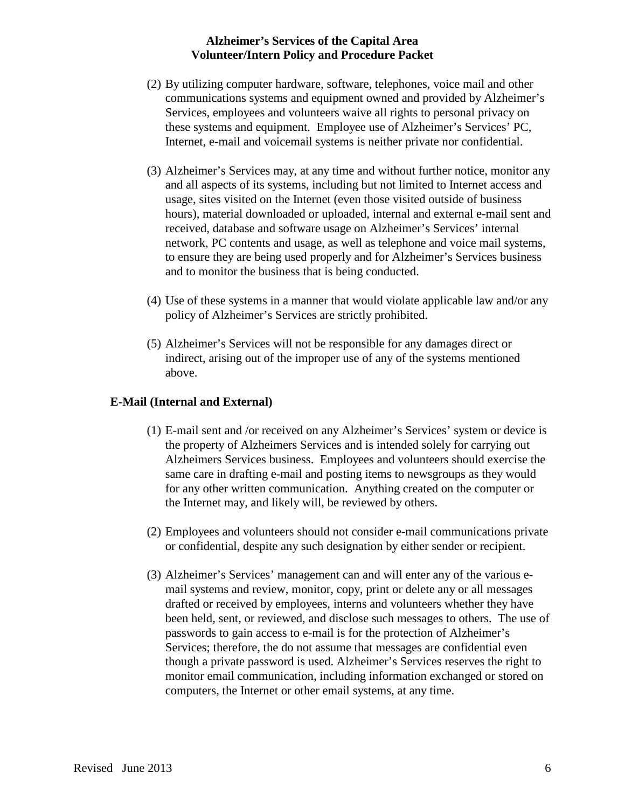- (2) By utilizing computer hardware, software, telephones, voice mail and other communications systems and equipment owned and provided by Alzheimer's Services, employees and volunteers waive all rights to personal privacy on these systems and equipment. Employee use of Alzheimer's Services' PC, Internet, e-mail and voicemail systems is neither private nor confidential.
- (3) Alzheimer's Services may, at any time and without further notice, monitor any and all aspects of its systems, including but not limited to Internet access and usage, sites visited on the Internet (even those visited outside of business hours), material downloaded or uploaded, internal and external e-mail sent and received, database and software usage on Alzheimer's Services' internal network, PC contents and usage, as well as telephone and voice mail systems, to ensure they are being used properly and for Alzheimer's Services business and to monitor the business that is being conducted.
- (4) Use of these systems in a manner that would violate applicable law and/or any policy of Alzheimer's Services are strictly prohibited.
- (5) Alzheimer's Services will not be responsible for any damages direct or indirect, arising out of the improper use of any of the systems mentioned above.

# **E-Mail (Internal and External)**

- (1) E-mail sent and /or received on any Alzheimer's Services' system or device is the property of Alzheimers Services and is intended solely for carrying out Alzheimers Services business. Employees and volunteers should exercise the same care in drafting e-mail and posting items to newsgroups as they would for any other written communication. Anything created on the computer or the Internet may, and likely will, be reviewed by others.
- (2) Employees and volunteers should not consider e-mail communications private or confidential, despite any such designation by either sender or recipient.
- (3) Alzheimer's Services' management can and will enter any of the various email systems and review, monitor, copy, print or delete any or all messages drafted or received by employees, interns and volunteers whether they have been held, sent, or reviewed, and disclose such messages to others. The use of passwords to gain access to e-mail is for the protection of Alzheimer's Services; therefore, the do not assume that messages are confidential even though a private password is used. Alzheimer's Services reserves the right to monitor email communication, including information exchanged or stored on computers, the Internet or other email systems, at any time.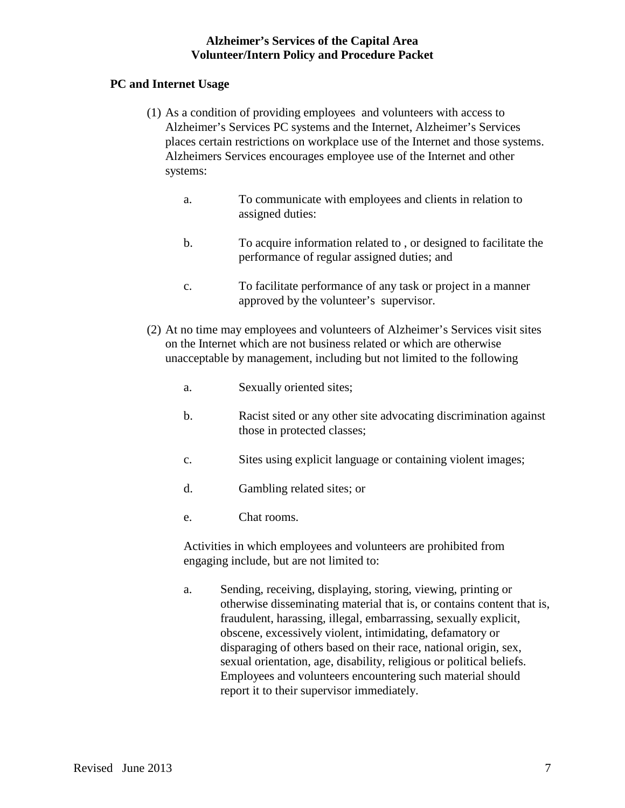# **PC and Internet Usage**

- (1) As a condition of providing employees and volunteers with access to Alzheimer's Services PC systems and the Internet, Alzheimer's Services places certain restrictions on workplace use of the Internet and those systems. Alzheimers Services encourages employee use of the Internet and other systems:
	- a. To communicate with employees and clients in relation to assigned duties:
	- b. To acquire information related to , or designed to facilitate the performance of regular assigned duties; and
	- c. To facilitate performance of any task or project in a manner approved by the volunteer's supervisor.
- (2) At no time may employees and volunteers of Alzheimer's Services visit sites on the Internet which are not business related or which are otherwise unacceptable by management, including but not limited to the following
	- a. Sexually oriented sites;
	- b. Racist sited or any other site advocating discrimination against those in protected classes;
	- c. Sites using explicit language or containing violent images;
	- d. Gambling related sites; or
	- e. Chat rooms.

Activities in which employees and volunteers are prohibited from engaging include, but are not limited to:

a. Sending, receiving, displaying, storing, viewing, printing or otherwise disseminating material that is, or contains content that is, fraudulent, harassing, illegal, embarrassing, sexually explicit, obscene, excessively violent, intimidating, defamatory or disparaging of others based on their race, national origin, sex, sexual orientation, age, disability, religious or political beliefs. Employees and volunteers encountering such material should report it to their supervisor immediately.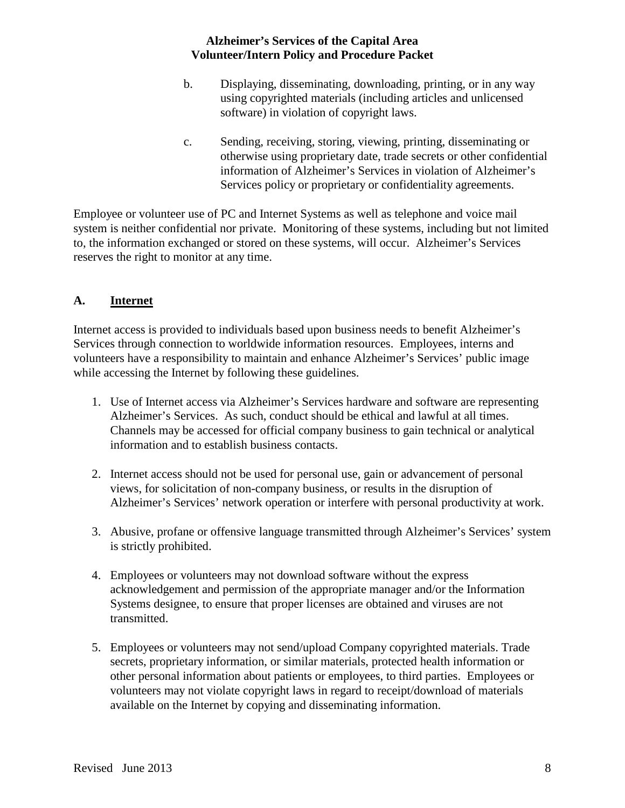- b. Displaying, disseminating, downloading, printing, or in any way using copyrighted materials (including articles and unlicensed software) in violation of copyright laws.
- c. Sending, receiving, storing, viewing, printing, disseminating or otherwise using proprietary date, trade secrets or other confidential information of Alzheimer's Services in violation of Alzheimer's Services policy or proprietary or confidentiality agreements.

Employee or volunteer use of PC and Internet Systems as well as telephone and voice mail system is neither confidential nor private. Monitoring of these systems, including but not limited to, the information exchanged or stored on these systems, will occur. Alzheimer's Services reserves the right to monitor at any time.

# **A. Internet**

Internet access is provided to individuals based upon business needs to benefit Alzheimer's Services through connection to worldwide information resources. Employees, interns and volunteers have a responsibility to maintain and enhance Alzheimer's Services' public image while accessing the Internet by following these guidelines.

- 1. Use of Internet access via Alzheimer's Services hardware and software are representing Alzheimer's Services. As such, conduct should be ethical and lawful at all times. Channels may be accessed for official company business to gain technical or analytical information and to establish business contacts.
- 2. Internet access should not be used for personal use, gain or advancement of personal views, for solicitation of non-company business, or results in the disruption of Alzheimer's Services' network operation or interfere with personal productivity at work.
- 3. Abusive, profane or offensive language transmitted through Alzheimer's Services' system is strictly prohibited.
- 4. Employees or volunteers may not download software without the express acknowledgement and permission of the appropriate manager and/or the Information Systems designee, to ensure that proper licenses are obtained and viruses are not transmitted.
- 5. Employees or volunteers may not send/upload Company copyrighted materials. Trade secrets, proprietary information, or similar materials, protected health information or other personal information about patients or employees, to third parties. Employees or volunteers may not violate copyright laws in regard to receipt/download of materials available on the Internet by copying and disseminating information.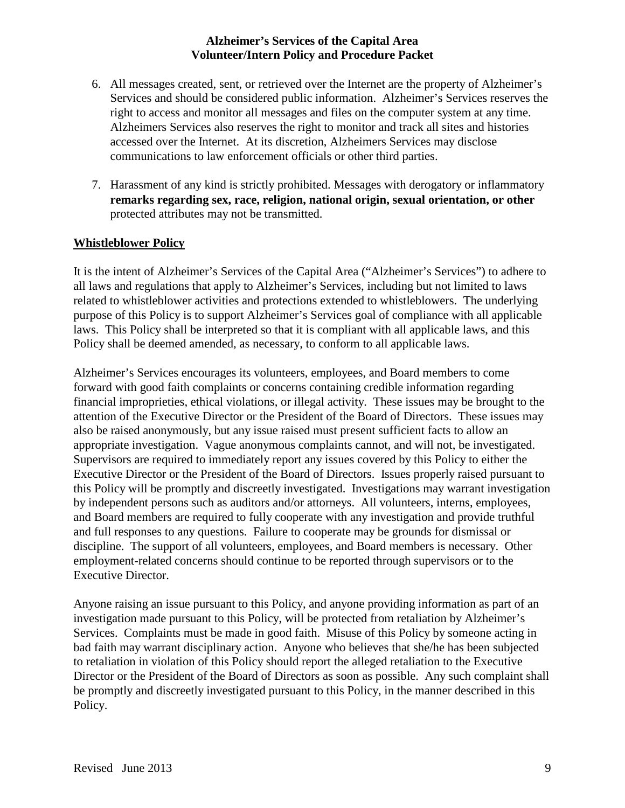- 6. All messages created, sent, or retrieved over the Internet are the property of Alzheimer's Services and should be considered public information. Alzheimer's Services reserves the right to access and monitor all messages and files on the computer system at any time. Alzheimers Services also reserves the right to monitor and track all sites and histories accessed over the Internet. At its discretion, Alzheimers Services may disclose communications to law enforcement officials or other third parties.
- 7. Harassment of any kind is strictly prohibited. Messages with derogatory or inflammatory **remarks regarding sex, race, religion, national origin, sexual orientation, or other** protected attributes may not be transmitted.

# **Whistleblower Policy**

It is the intent of Alzheimer's Services of the Capital Area ("Alzheimer's Services") to adhere to all laws and regulations that apply to Alzheimer's Services, including but not limited to laws related to whistleblower activities and protections extended to whistleblowers. The underlying purpose of this Policy is to support Alzheimer's Services goal of compliance with all applicable laws. This Policy shall be interpreted so that it is compliant with all applicable laws, and this Policy shall be deemed amended, as necessary, to conform to all applicable laws.

Alzheimer's Services encourages its volunteers, employees, and Board members to come forward with good faith complaints or concerns containing credible information regarding financial improprieties, ethical violations, or illegal activity. These issues may be brought to the attention of the Executive Director or the President of the Board of Directors. These issues may also be raised anonymously, but any issue raised must present sufficient facts to allow an appropriate investigation. Vague anonymous complaints cannot, and will not, be investigated. Supervisors are required to immediately report any issues covered by this Policy to either the Executive Director or the President of the Board of Directors. Issues properly raised pursuant to this Policy will be promptly and discreetly investigated. Investigations may warrant investigation by independent persons such as auditors and/or attorneys. All volunteers, interns, employees, and Board members are required to fully cooperate with any investigation and provide truthful and full responses to any questions. Failure to cooperate may be grounds for dismissal or discipline. The support of all volunteers, employees, and Board members is necessary. Other employment-related concerns should continue to be reported through supervisors or to the Executive Director.

Anyone raising an issue pursuant to this Policy, and anyone providing information as part of an investigation made pursuant to this Policy, will be protected from retaliation by Alzheimer's Services. Complaints must be made in good faith. Misuse of this Policy by someone acting in bad faith may warrant disciplinary action. Anyone who believes that she/he has been subjected to retaliation in violation of this Policy should report the alleged retaliation to the Executive Director or the President of the Board of Directors as soon as possible. Any such complaint shall be promptly and discreetly investigated pursuant to this Policy, in the manner described in this Policy.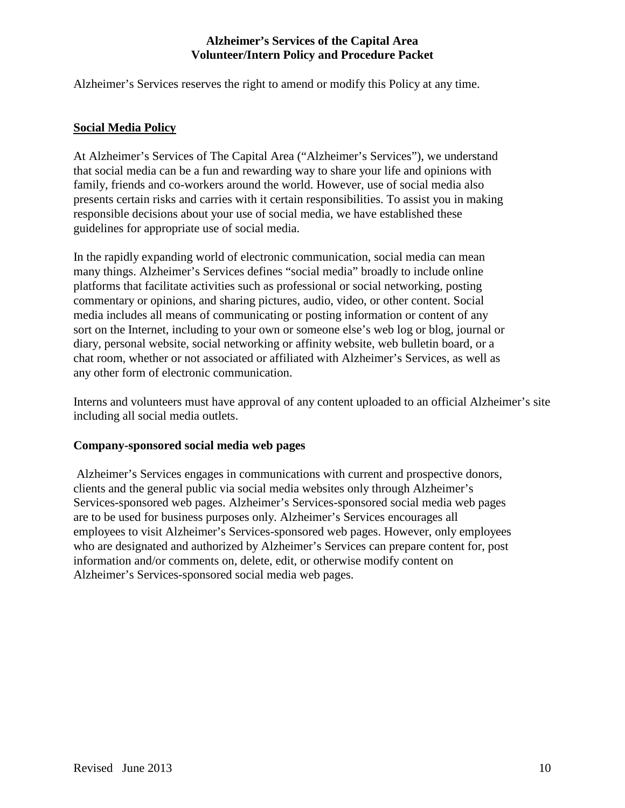Alzheimer's Services reserves the right to amend or modify this Policy at any time.

### **Social Media Policy**

At Alzheimer's Services of The Capital Area ("Alzheimer's Services"), we understand that social media can be a fun and rewarding way to share your life and opinions with family, friends and co-workers around the world. However, use of social media also presents certain risks and carries with it certain responsibilities. To assist you in making responsible decisions about your use of social media, we have established these guidelines for appropriate use of social media.

In the rapidly expanding world of electronic communication, social media can mean many things. Alzheimer's Services defines "social media" broadly to include online platforms that facilitate activities such as professional or social networking, posting commentary or opinions, and sharing pictures, audio, video, or other content. Social media includes all means of communicating or posting information or content of any sort on the Internet, including to your own or someone else's web log or blog, journal or diary, personal website, social networking or affinity website, web bulletin board, or a chat room, whether or not associated or affiliated with Alzheimer's Services, as well as any other form of electronic communication.

Interns and volunteers must have approval of any content uploaded to an official Alzheimer's site including all social media outlets.

#### **Company-sponsored social media web pages**

Alzheimer's Services engages in communications with current and prospective donors, clients and the general public via social media websites only through Alzheimer's Services-sponsored web pages. Alzheimer's Services-sponsored social media web pages are to be used for business purposes only. Alzheimer's Services encourages all employees to visit Alzheimer's Services-sponsored web pages. However, only employees who are designated and authorized by Alzheimer's Services can prepare content for, post information and/or comments on, delete, edit, or otherwise modify content on Alzheimer's Services-sponsored social media web pages.